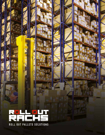**ROLL OUT PALLETS SOLUTIONS**

22

D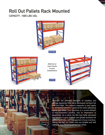# **Roll Out Pallets Rack Mounted**

**CAPACITY : 1000 LBS UDL**





**Add one or more levels to your installations.**

**AFTER**



**2**

Amongst the different elements of handling and storage equipment that we've developed, we have the Roll Out Pallet. This product responds to your reality by increasing execution speed all the while optimizing space and safety. Your inventory is a crucial element in the production process, and its importance is paramount. As a result, the Roll Out Pallet will easily give access to your material and greatly facilitate the gathering process and management of your inventory. Hence, the Roll Out Pallet units are durable and well suited to your handling and storage needs.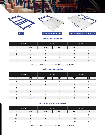



### **Standard base dimensions**

| <b>36" DEEP</b> |              |              | <b>42" DEEP</b> | <b>48" DEEP</b> |    |
|-----------------|--------------|--------------|-----------------|-----------------|----|
| <b>WIDTH</b>    | <b>DEPTH</b> | <b>WIDTH</b> | <b>DEPTH</b>    | <b>WIDTH</b>    |    |
| 24              | 36           | 24           | 42              | 24              | 48 |
| 30              | 36           | 30           | 42              | 30              | 48 |
| 36              | 36           | 36           | 42              | 36              | 48 |
| 40              | 36           | 40           | 42              | 40              | 48 |

More than one base are required for larger top plates.

### **Standard top plate dimensions**

| <b>36" DEEP</b> |              |              | <b>42" DEEP</b> | <b>48" DEEP</b> |              |
|-----------------|--------------|--------------|-----------------|-----------------|--------------|
| <b>WIDTH</b>    | <b>DEPTH</b> | <b>WIDTH</b> | <b>DEPTH</b>    | <b>WIDTH</b>    | <b>DEPTH</b> |
| 24              | 36           | 24           | 42              | 24              | 48           |
| $30\,$          | 36           | 30           | 42              | 30              | 48           |
| 36              | 36           | 36           | 42              | 36              | 48           |
| 42              | 36           | 42           | 42              | 42              | 48           |
| 46              | 36           | 46           | 42              | 46              | 48           |
| 52              | 36           | 52           | 42              | 52              | 48           |

### **Top plate requiring two bases or more**

| <b>36" DEEP</b> |              |              | <b>42" DEEP</b> | <b>48" DEEP</b> |              |
|-----------------|--------------|--------------|-----------------|-----------------|--------------|
| <b>WIDTH</b>    | <b>DEPTH</b> | <b>WIDTH</b> | <b>DEPTH</b>    | <b>WIDTH</b>    | <b>DEPTH</b> |
| 94              | 36           | 94           | 42              | 94              | 48           |
| 106             | 36           | 106          | 42              | 106             | 48           |
| 142             | 36           | 142          | 42              | 142             | 48           |

More than one base are required for larger top plates.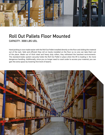

# **Roll Out Pallets Floor Mounted CAPACITY : 3000 LBS UDL**

Hand picking is now made easier with the Roll Out Pallet installed directly on the floor and sliding the material out of the rack. Safe and efficient they roll on tracks installed on the floor so no one can take them out of the place. Made out of thick steel and heavy duty rollers, they withstand the harshest environments. The standard brake system securely holds the Roll Out Pallet in place when the lift is loading it. No more dangerous handling. Additionally, since you no longer need to crawl under to access your material, you can gain the extra space by lowering first level of beams.

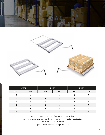



| <b>36" DEEP</b> |              |              | <b>42" DEEP</b> | <b>48" DEEP</b> |              |
|-----------------|--------------|--------------|-----------------|-----------------|--------------|
| <b>WIDTH</b>    | <b>DEPTH</b> | <b>WIDTH</b> | <b>DEPTH</b>    | <b>WIDTH</b>    | <b>DEPTH</b> |
| 24              | 36           | 24           | 42              | 24              | 48           |
| 30              | 36           | 30           | 42              | 30              | 48           |
| 36              | 36           | 36           | 42              | 36              | 48           |
| 42              | 36           | 42           | 42              | 42              | 48           |
| 46              | 36           | 46           | 42              | 46              | 48           |
| 52              | 36           | 52           | 42              | 52              | 48           |

More than one base are required for larger top plates.

Number of cross members can be modified to accommodate application.

A full plate option is available.

Optional back lips and side lips available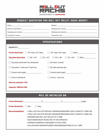

# **REQUEST QUOTATION FOR ROLL OUT PALLET (RACK MOUNT)**

| Date:              | Dealer:            |  |
|--------------------|--------------------|--|
| Branch city/State: | Salesperson name:  |  |
| Salesperson email: | Salesperson phone: |  |
| Customer name:     | Customer city:     |  |

## **SPECIFICATIONS**

| <b>QUANTITY:</b>                                           |                                                                |
|------------------------------------------------------------|----------------------------------------------------------------|
| <b>Frame dimension:</b><br>$40"$ wide x $42"$ deep<br>k. J | 40" wide x 48" deep<br>Other                                   |
| Top plate dimension: $46" \times 42"$                      | $12" \times 42"$<br>$\Box$ 46" x 48" $\Box$ 42" x 48"<br>Other |
| Top plate perforated Yes (Standard)                        | No holes, smooth                                               |
| Top plate 1" side and 1" back lips                         | No side and back lips                                          |
| Custom side height                                         | Custom back height<br>the company of the company of the        |
| Lock in (standard)                                         | Lock in - Lock-out                                             |
| <b>Roll out extension: 75%</b>                             |                                                                |
| Capacity: 1000 lbs UDL                                     |                                                                |

| <b>WILL BE INSTALLED ON</b> |     |                                                                                      |  |                                                                                                         |                                                                                                                                                    |
|-----------------------------|-----|--------------------------------------------------------------------------------------|--|---------------------------------------------------------------------------------------------------------|----------------------------------------------------------------------------------------------------------------------------------------------------|
| <b>Frame dimension:</b>     |     | X                                                                                    |  | X.                                                                                                      | Lenght                                                                                                                                             |
| <b>Frame dimension:</b>     | Box | Step                                                                                 |  |                                                                                                         |                                                                                                                                                    |
| <b>Recommandations:</b>     |     | . OPENING ONE ROLL OUT PALLET AT A TIME<br>. UPRIGHTS PROPERLY ANCHORED TO THE FLOOR |  | · RACK BEAMS MUST BE BOLTED TO THE UPRIGHTS<br>. FOLLOW RACK MANUFACTURER'S RECOMMANDATIONS AT ALL TIME | · 2 ROLL OUT PALLETS PER BAY, MINIMUM REQUIRED LEVEL CAPACITY: 5000 LBS<br>- 3 ROLL OUT PALLETS PER BAY, MINIMUM REQUIRED LEVEL CAPACITY: 6000 LBS |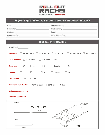

# REQUEST QUOTATION FOR FLOOR MOUNTED MODULAR RACKING

| Date:         | Customer name:     |  |
|---------------|--------------------|--|
| Distributor:  | Customer city:     |  |
| Contact:      | Email:             |  |
| Phone number: | Other information: |  |

### **GENERAL INFORMATION**

| <b>QUANTITY:</b>                                                                                             |
|--------------------------------------------------------------------------------------------------------------|
| <b>Dimension:</b><br>46"W x 48"D $\Box$ 46"W x 42"D $\Box$ 42"W x 42"D $\Box$ 42"W x 48"D $\Box$ 40"W x 48"D |
| <b>Cross member:</b><br>$\Box$ 3 Standard<br><b>Full Plate</b>                                               |
| <b>Backstop:</b><br>$\mathbf{1}^n$<br>2"<br>3"<br><b>Special</b><br><b>No</b>                                |
| 2"<br>3"<br>Endstop:<br>$\mathbf{1}^n$<br><b>Special</b><br><b>No</b>                                        |
| Lock system: Ves<br><b>No</b>                                                                                |
| Removable Pull Handle: 42" Standard 36" High [<br>$\Box$ Other                                               |
| Roll out extension: 85%                                                                                      |
| <b>Capacity: 3000 lbs UDL</b>                                                                                |
| OPENED<br><b>ANCHORED</b><br><b>TRACKS</b>                                                                   |
| .<br>$-363/32-$<br>$-76$ 13/32-                                                                              |
| <b>CLOSED</b>                                                                                                |
| <b>MOBILE</b><br><b>REMOVABLE</b><br>3 19/32<br><b>HANDLE</b><br>CART<br>-43 29/32-                          |